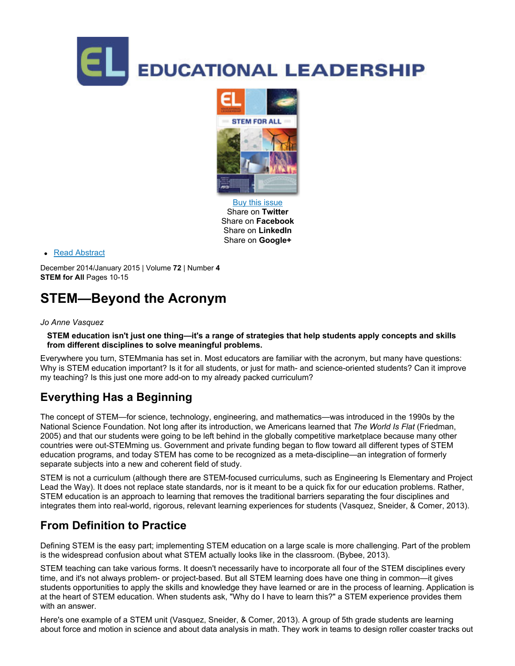



Buy this issue Share on **Twitter** Share on **Facebook** Share on **LinkedIn** Share on **Google+**

Read Abstract

December 2014/January 2015 | Volume **72** | Number **4 STEM** for All Pages 10-15

# **STEM—Beyond the Acronym**

#### *Jo Anne Vasquez*

STEM education isn't just one thing—it's a range of strategies that help students apply concepts and skills **from different disciplines to solve meaningful problems.**

Everywhere you turn, STEMmania has set in. Most educators are familiar with the acronym, but many have questions: Why is STEM education important? Is it for all students, or just for math- and science-oriented students? Can it improve my teaching? Is this just one more add-on to my already packed curriculum?

# **Everything Has a Beginning**

The concept of STEM—for science, technology, engineering, and mathematics—was introduced in the 1990s by the National Science Foundation. Not long after its introduction, we Americans learned that *The World Is Flat* (Friedman, 2005) and that our students were going to be left behind in the globally competitive marketplace because many other countries were out-STEMming us. Government and private funding began to flow toward all different types of STEM education programs, and today STEM has come to be recognized as a meta-discipline—an integration of formerly separate subjects into a new and coherent field of study.

STEM is not a curriculum (although there are STEM-focused curriculums, such as Engineering Is Elementary and Project Lead the Way). It does not replace state standards, nor is it meant to be a quick fix for our education problems. Rather, STEM education is an approach to learning that removes the traditional barriers separating the four disciplines and integrates them into real-world, rigorous, relevant learning experiences for students (Vasquez, Sneider, & Comer, 2013).

# **From Definition to Practice**

Defining STEM is the easy part; implementing STEM education on a large scale is more challenging. Part of the problem is the widespread confusion about what STEM actually looks like in the classroom. (Bybee, 2013).

STEM teaching can take various forms. It doesn't necessarily have to incorporate all four of the STEM disciplines every time, and it's not always problem- or project-based. But all STEM learning does have one thing in common—it gives students opportunities to apply the skills and knowledge they have learned or are in the process of learning. Application is at the heart of STEM education. When students ask, "Why do I have to learn this?" a STEM experience provides them with an answer.

Here's one example of a STEM unit (Vasquez, Sneider, & Comer, 2013). A group of 5th grade students are learning about force and motion in science and about data analysis in math. They work in teams to design roller coaster tracks out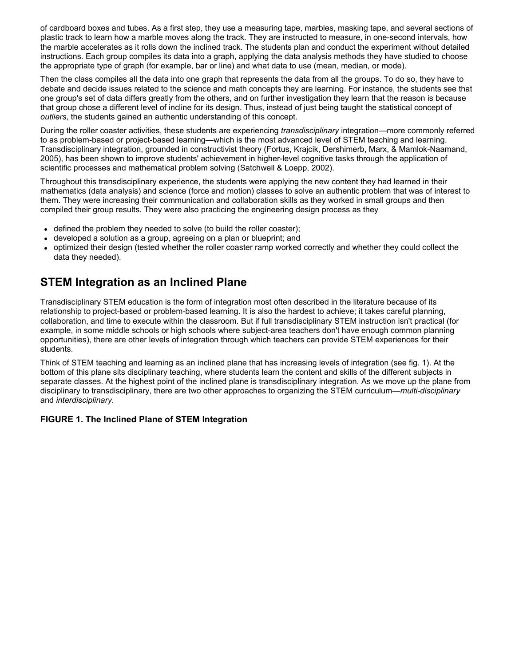of cardboard boxes and tubes. As a first step, they use a measuring tape, marbles, masking tape, and several sections of plastic track to learn how a marble moves along the track. They are instructed to measure, in onesecond intervals, how the marble accelerates as it rolls down the inclined track. The students plan and conduct the experiment without detailed instructions. Each group compiles its data into a graph, applying the data analysis methods they have studied to choose the appropriate type of graph (for example, bar or line) and what data to use (mean, median, or mode).

Then the class compiles all the data into one graph that represents the data from all the groups. To do so, they have to debate and decide issues related to the science and math concepts they are learning. For instance, the students see that one group's set of data differs greatly from the others, and on further investigation they learn that the reason is because that group chose a different level of incline for its design. Thus, instead of just being taught the statistical concept of *outliers*, the students gained an authentic understanding of this concept.

During the roller coaster activities, these students are experiencing *transdisciplinary* integration—more commonly referred to as problem-based or project-based learning—which is the most advanced level of STEM teaching and learning. Transdisciplinary integration, grounded in constructivist theory (Fortus, Krajcik, Dershimerb, Marx, & Mamlok-Naamand, 2005), has been shown to improve students' achievement in higher-level cognitive tasks through the application of scientific processes and mathematical problem solving (Satchwell & Loepp, 2002).

Throughout this transdisciplinary experience, the students were applying the new content they had learned in their mathematics (data analysis) and science (force and motion) classes to solve an authentic problem that was of interest to them. They were increasing their communication and collaboration skills as they worked in small groups and then compiled their group results. They were also practicing the engineering design process as they

- defined the problem they needed to solve (to build the roller coaster);
- developed a solution as a group, agreeing on a plan or blueprint; and
- optimized their design (tested whether the roller coaster ramp worked correctly and whether they could collect the data they needed).

### **STEM Integration as an Inclined Plane**

Transdisciplinary STEM education is the form of integration most often described in the literature because of its relationship to project-based or problem-based learning. It is also the hardest to achieve; it takes careful planning, collaboration, and time to execute within the classroom. But if full transdisciplinary STEM instruction isn't practical (for example, in some middle schools or high schools where subject-area teachers don't have enough common planning opportunities), there are other levels of integration through which teachers can provide STEM experiences for their students.

Think of STEM teaching and learning as an inclined plane that has increasing levels of integration (see fig. 1). At the bottom of this plane sits disciplinary teaching, where students learn the content and skills of the different subjects in separate classes. At the highest point of the inclined plane is transdisciplinary integration. As we move up the plane from disciplinary to transdisciplinary, there are two other approaches to organizing the STEM curriculum—*multi-disciplinary* and *interdisciplinary*.

#### **FIGURE 1. The Inclined Plane of STEM Integration**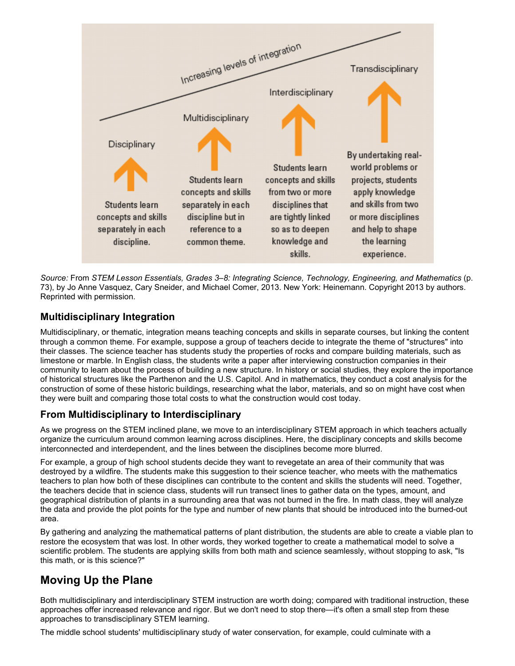

*Source:* From *STEM Lesson Essentials, Grades 3–8: Integrating Science, Technology, Engineering, and Mathematics* (p. 73), by Jo Anne Vasquez, Cary Sneider, and Michael Comer, 2013. New York: Heinemann. Copyright 2013 by authors. Reprinted with permission.

#### **Multidisciplinary Integration**

Multidisciplinary, or thematic, integration means teaching concepts and skills in separate courses, but linking the content through a common theme. For example, suppose a group of teachers decide to integrate the theme of "structures" into their classes. The science teacher has students study the properties of rocks and compare building materials, such as limestone or marble. In English class, the students write a paper after interviewing construction companies in their community to learn about the process of building a new structure. In history or social studies, they explore the importance of historical structures like the Parthenon and the U.S. Capitol. And in mathematics, they conduct a cost analysis for the construction of some of these historic buildings, researching what the labor, materials, and so on might have cost when they were built and comparing those total costs to what the construction would cost today.

#### **From Multidisciplinary to Interdisciplinary**

As we progress on the STEM inclined plane, we move to an interdisciplinary STEM approach in which teachers actually organize the curriculum around common learning across disciplines. Here, the disciplinary concepts and skills become interconnected and interdependent, and the lines between the disciplines become more blurred.

For example, a group of high school students decide they want to revegetate an area of their community that was destroyed by a wildfire. The students make this suggestion to their science teacher, who meets with the mathematics teachers to plan how both of these disciplines can contribute to the content and skills the students will need. Together, the teachers decide that in science class, students will run transect lines to gather data on the types, amount, and geographical distribution of plants in a surrounding area that was not burned in the fire. In math class, they will analyze the data and provide the plot points for the type and number of new plants that should be introduced into the burned-out area.

By gathering and analyzing the mathematical patterns of plant distribution, the students are able to create a viable plan to restore the ecosystem that was lost. In other words, they worked together to create a mathematical model to solve a scientific problem. The students are applying skills from both math and science seamlessly, without stopping to ask, "Is this math, or is this science?"

# **Moving Up the Plane**

Both multidisciplinary and interdisciplinary STEM instruction are worth doing; compared with traditional instruction, these approaches offer increased relevance and rigor. But we don't need to stop there—it's often a small step from these approaches to transdisciplinary STEM learning.

The middle school students' multidisciplinary study of water conservation, for example, could culminate with a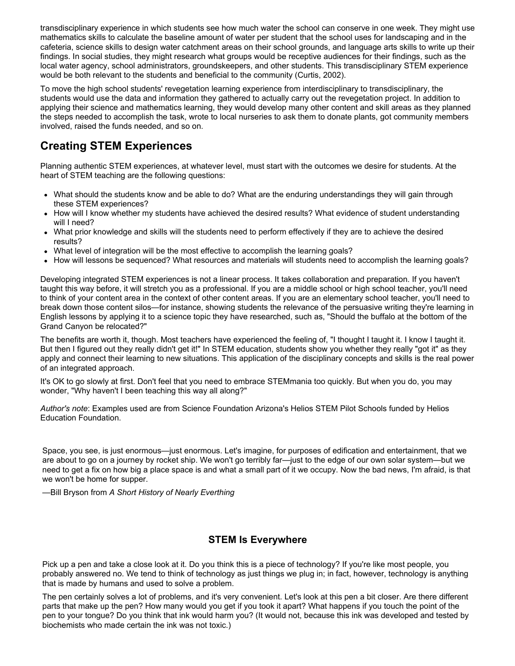transdisciplinary experience in which students see how much water the school can conserve in one week. They might use mathematics skills to calculate the baseline amount of water per student that the school uses for landscaping and in the cafeteria, science skills to design water catchment areas on their school grounds, and language arts skills to write up their findings. In social studies, they might research what groups would be receptive audiences for their findings, such as the local water agency, school administrators, groundskeepers, and other students. This transdisciplinary STEM experience would be both relevant to the students and beneficial to the community (Curtis, 2002).

To move the high school students' revegetation learning experience from interdisciplinary to transdisciplinary, the students would use the data and information they gathered to actually carry out the revegetation project. In addition to applying their science and mathematics learning, they would develop many other content and skill areas as they planned the steps needed to accomplish the task, wrote to local nurseries to ask them to donate plants, got community members involved, raised the funds needed, and so on.

## **Creating STEM Experiences**

Planning authentic STEM experiences, at whatever level, must start with the outcomes we desire for students. At the heart of STEM teaching are the following questions:

- What should the students know and be able to do? What are the enduring understandings they will gain through these STEM experiences?
- How will I know whether my students have achieved the desired results? What evidence of student understanding will I need?
- What prior knowledge and skills will the students need to perform effectively if they are to achieve the desired results?
- What level of integration will be the most effective to accomplish the learning goals?
- How will lessons be sequenced? What resources and materials will students need to accomplish the learning goals?

Developing integrated STEM experiences is not a linear process. It takes collaboration and preparation. If you haven't taught this way before, it will stretch you as a professional. If you are a middle school or high school teacher, you'll need to think of your content area in the context of other content areas. If you are an elementary school teacher, you'll need to break down those content silos—for instance, showing students the relevance of the persuasive writing they're learning in English lessons by applying it to a science topic they have researched, such as, "Should the buffalo at the bottom of the Grand Canyon be relocated?"

The benefits are worth it, though. Most teachers have experienced the feeling of, "I thought I taught it. I know I taught it. But then I figured out they really didn't get it!" In STEM education, students show you whether they really "got it" as they apply and connect their learning to new situations. This application of the disciplinary concepts and skills is the real power of an integrated approach.

It's OK to go slowly at first. Don't feel that you need to embrace STEMmania too quickly. But when you do, you may wonder, "Why haven't I been teaching this way all along?"

*Author's note*: Examples used are from Science Foundation Arizona's Helios STEM Pilot Schools funded by Helios Education Foundation.

Space, you see, is just enormous—just enormous. Let's imagine, for purposes of edification and entertainment, that we are about to go on a journey by rocket ship. We won't go terribly far—just to the edge of our own solar system—but we need to get a fix on how big a place space is and what a small part of it we occupy. Now the bad news, I'm afraid, is that we won't be home for supper.

—Bill Bryson from *A Short History of Nearly Everthing*

#### **STEM Is Everywhere**

Pick up a pen and take a close look at it. Do you think this is a piece of technology? If you're like most people, you probably answered no. We tend to think of technology as just things we plug in; in fact, however, technology is anything that is made by humans and used to solve a problem.

The pen certainly solves a lot of problems, and it's very convenient. Let's look at this pen a bit closer. Are there different parts that make up the pen? How many would you get if you took it apart? What happens if you touch the point of the pen to your tongue? Do you think that ink would harm you? (It would not, because this ink was developed and tested by biochemists who made certain the ink was not toxic.)